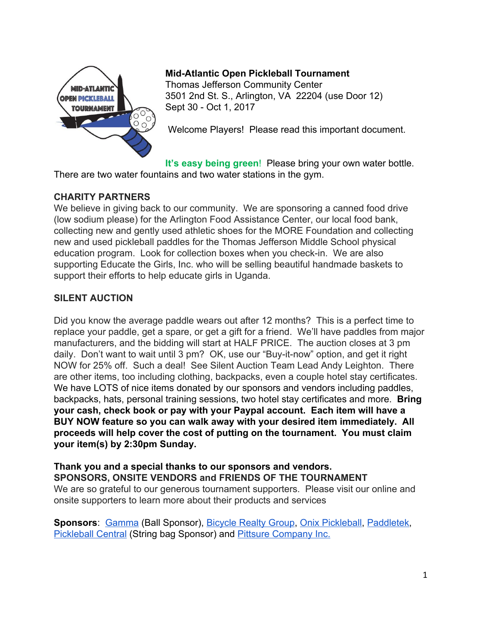

## **Mid-Atlantic Open Pickleball Tournament**

Thomas Jefferson Community Center 3501 2nd St. S., Arlington, VA 22204 (use Door 12) Sept 30 - Oct 1, 2017

Welcome Players! Please read this important document.

**It's easy being green**! Please bring your own water bottle. There are two water fountains and two water stations in the gym.

## **CHARITY PARTNERS**

We believe in giving back to our community. We are sponsoring a canned food drive (low sodium please) for the Arlington Food Assistance Center, our local food bank, collecting new and gently used athletic shoes for the MORE Foundation and collecting new and used pickleball paddles for the Thomas Jefferson Middle School physical education program. Look for collection boxes when you check-in. We are also supporting Educate the Girls, Inc. who will be selling beautiful handmade baskets to support their efforts to help educate girls in Uganda.

# **SILENT AUCTION**

Did you know the average paddle wears out after 12 months? This is a perfect time to replace your paddle, get a spare, or get a gift for a friend. We'll have paddles from major manufacturers, and the bidding will start at HALF PRICE. The auction closes at 3 pm daily. Don't want to wait until 3 pm? OK, use our "Buy-it-now" option, and get it right NOW for 25% off. Such a deal! See Silent Auction Team Lead Andy Leighton. There are other items, too including clothing, backpacks, even a couple hotel stay certificates. We have LOTS of nice items donated by our sponsors and vendors including paddles, backpacks, hats, personal training sessions, two hotel stay certificates and more. **Bring your cash, check book or pay with your Paypal account. Each item will have a BUY NOW feature so you can walk away with your desired item immediately. All proceeds will help cover the cost of putting on the tournament. You must claim your item(s) by 2:30pm Sunday.**

**Thank you and a special thanks to our sponsors and vendors. SPONSORS, ONSITE VENDORS and FRIENDS OF THE TOURNAMENT** We are so grateful to our generous tournament supporters. Please visit our online and onsite supporters to learn more about their products and services

**Sponsors**: [Gamma](https://gammasports.com/pickleball/) (Ball Sponsor), [Bicycle](http://www.bicyclingrealty.com/) Realty Group, Onix [Pickleball,](http://www.onixpickleball.com/) [Paddletek,](https://www.paddletek.com/) [Pickleball](http://www.pickleballcentral.com/) Central (String bag Sponsor) and Pittsure [Company](http://www.pittsure.com/) Inc.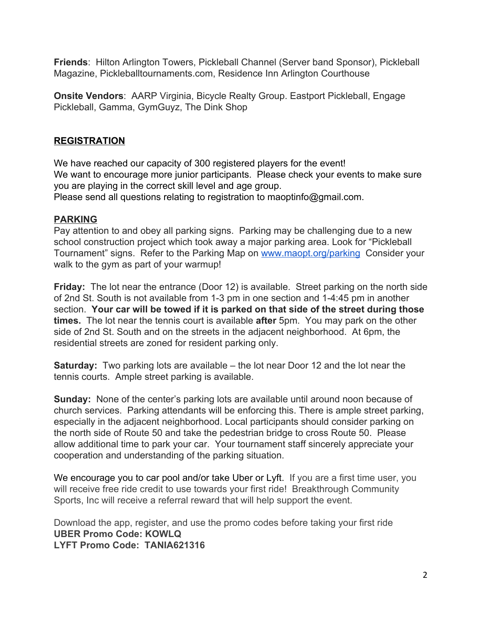**Friends**: Hilton Arlington Towers, Pickleball Channel (Server band Sponsor), Pickleball Magazine, Pickleballtournaments.com, Residence Inn Arlington Courthouse

**Onsite Vendors**: AARP Virginia, Bicycle Realty Group. Eastport Pickleball, Engage Pickleball, Gamma, GymGuyz, The Dink Shop

## **REGISTRATION**

We have reached our capacity of 300 registered players for the event! We want to encourage more junior participants. Please check your events to make sure you are playing in the correct skill level and age group. Please send all questions relating to registration to maoptinfo@gmail.com.

#### **PARKING**

Pay attention to and obey all parking signs. Parking may be challenging due to a new school construction project which took away a major parking area. Look for "Pickleball Tournament" signs. Refer to the Parking Map on [www.maopt.org/parking](http://www.maopt.org/parking) Consider your walk to the gym as part of your warmup!

**Friday:** The lot near the entrance (Door 12) is available. Street parking on the north side of 2nd St. South is not available from 1-3 pm in one section and 1-4:45 pm in another section. **Your car will be towed if it is parked on that side of the street during those times.** The lot near the tennis court is available **after** 5pm. You may park on the other side of 2nd St. South and on the streets in the adjacent neighborhood. At 6pm, the residential streets are zoned for resident parking only.

**Saturday:** Two parking lots are available – the lot near Door 12 and the lot near the tennis courts. Ample street parking is available.

**Sunday:** None of the center's parking lots are available until around noon because of church services. Parking attendants will be enforcing this. There is ample street parking, especially in the adjacent neighborhood. Local participants should consider parking on the north side of Route 50 and take the pedestrian bridge to cross Route 50. Please allow additional time to park your car. Your tournament staff sincerely appreciate your cooperation and understanding of the parking situation.

We encourage you to car pool and/or take Uber or Lyft. If you are a first time user, you will receive free ride credit to use towards your first ride! Breakthrough Community Sports, Inc will receive a referral reward that will help support the event.

Download the app, register, and use the promo codes before taking your first ride **UBER Promo Code: KOWLQ LYFT Promo Code: TANIA621316**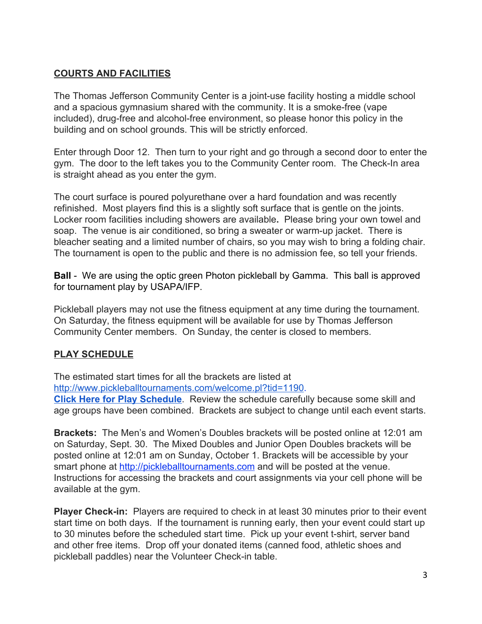## **COURTS AND FACILITIES**

The Thomas Jefferson Community Center is a joint-use facility hosting a middle school and a spacious gymnasium shared with the community. It is a smoke-free (vape included), drug-free and alcohol-free environment, so please honor this policy in the building and on school grounds. This will be strictly enforced.

Enter through Door 12. Then turn to your right and go through a second door to enter the gym. The door to the left takes you to the Community Center room. The Check-In area is straight ahead as you enter the gym.

The court surface is poured polyurethane over a hard foundation and was recently refinished. Most players find this is a slightly soft surface that is gentle on the joints. Locker room facilities including showers are available**.** Please bring your own towel and soap. The venue is air conditioned, so bring a sweater or warm-up jacket. There is bleacher seating and a limited number of chairs, so you may wish to bring a folding chair. The tournament is open to the public and there is no admission fee, so tell your friends.

**Ball** - We are using the optic green Photon pickleball by Gamma. This ball is approved for tournament play by USAPA/IFP.

Pickleball players may not use the fitness equipment at any time during the tournament. On Saturday, the fitness equipment will be available for use by Thomas Jefferson Community Center members. On Sunday, the center is closed to members.

# **PLAY SCHEDULE**

The estimated start times for all the brackets are listed at [http://www.pickleballtournaments.com/welcome.pl?tid=1190](https://secure.pickleballtournaments.com/schedule.pl?tid=1190). **Click Here for Play [Schedule](https://secure.pickleballtournaments.com/schedule.pl?tid=1190)**. Review the schedule carefully because some skill and age groups have been combined. Brackets are subject to change until each event starts.

**Brackets:** The Men's and Women's Doubles brackets will be posted online at 12:01 am on Saturday, Sept. 30. The Mixed Doubles and Junior Open Doubles brackets will be posted online at 12:01 am on Sunday, October 1. Brackets will be accessible by your smart phone at [http://pickleballtournaments.com](http://www.pickleballtournaments.com/welcome.pl?tid=1190) and will be posted at the venue. Instructions for accessing the brackets and court assignments via your cell phone will be available at the gym.

**Player Check-in:** Players are required to check in at least 30 minutes prior to their event start time on both days. If the tournament is running early, then your event could start up to 30 minutes before the scheduled start time. Pick up your event t-shirt, server band and other free items. Drop off your donated items (canned food, athletic shoes and pickleball paddles) near the Volunteer Check-in table.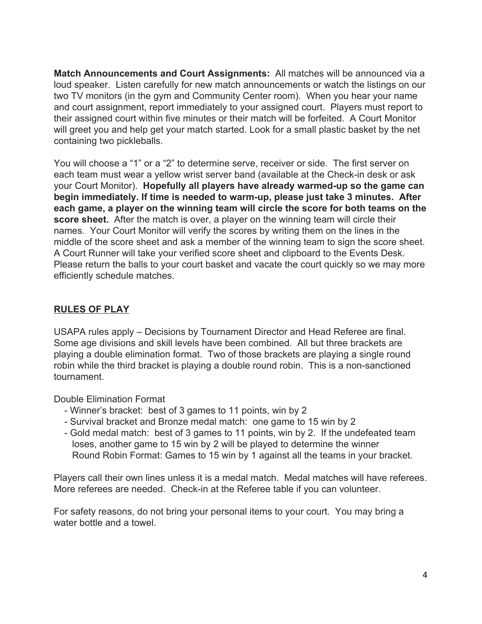**Match Announcements and Court Assignments:** All matches will be announced via a loud speaker. Listen carefully for new match announcements or watch the listings on our two TV monitors (in the gym and Community Center room). When you hear your name and court assignment, report immediately to your assigned court. Players must report to their assigned court within five minutes or their match will be forfeited. A Court Monitor will greet you and help get your match started. Look for a small plastic basket by the net containing two pickleballs.

You will choose a "1" or a "2" to determine serve, receiver or side. The first server on each team must wear a yellow wrist server band (available at the Check-in desk or ask your Court Monitor). **Hopefully all players have already warmed-up so the game can begin immediately. If time is needed to warm-up, please just take 3 minutes. After each game, a player on the winning team will circle the score for both teams on the score sheet.** After the match is over, a player on the winning team will circle their names. Your Court Monitor will verify the scores by writing them on the lines in the middle of the score sheet and ask a member of the winning team to sign the score sheet. A Court Runner will take your verified score sheet and clipboard to the Events Desk. Please return the balls to your court basket and vacate the court quickly so we may more efficiently schedule matches.

## **RULES OF PLAY**

USAPA rules apply – Decisions by Tournament Director and Head Referee are final. Some age divisions and skill levels have been combined. All but three brackets are playing a double elimination format. Two of those brackets are playing a single round robin while the third bracket is playing a double round robin. This is a non-sanctioned tournament.

Double Elimination Format

- Winner's bracket: best of 3 games to 11 points, win by 2
- Survival bracket and Bronze medal match: one game to 15 win by 2
- Gold medal match: best of 3 games to 11 points, win by 2. If the undefeated team loses, another game to 15 win by 2 will be played to determine the winner Round Robin Format: Games to 15 win by 1 against all the teams in your bracket.

Players call their own lines unless it is a medal match. Medal matches will have referees. More referees are needed. Check-in at the Referee table if you can volunteer.

For safety reasons, do not bring your personal items to your court. You may bring a water bottle and a towel.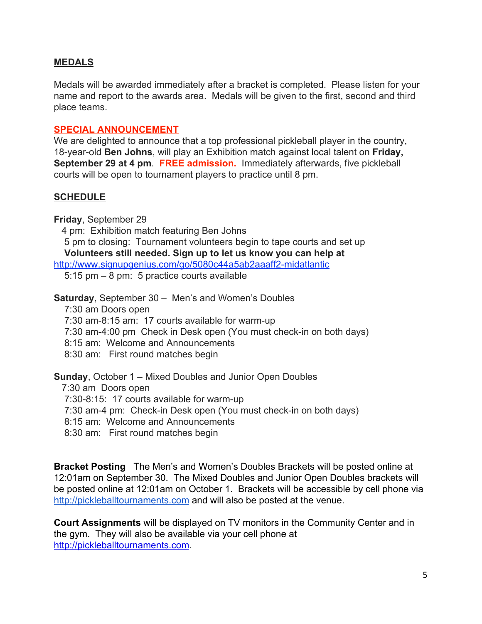#### **MEDALS**

Medals will be awarded immediately after a bracket is completed. Please listen for your name and report to the awards area. Medals will be given to the first, second and third place teams.

#### **SPECIAL ANNOUNCEMENT**

We are delighted to announce that a top professional pickleball player in the country, 18-year-old **Ben Johns**, will play an Exhibition match against local talent on **Friday, September 29 at 4 pm**. **FREE admission.** Immediately afterwards, five pickleball courts will be open to tournament players to practice until 8 pm.

## **SCHEDULE**

**Friday**, September 29

4 pm: Exhibition match featuring Ben Johns

5 pm to closing: Tournament volunteers begin to tape courts and set up **Volunteers still needed. Sign up to let us know you can help at**

<http://www.signupgenius.com/go/5080c44a5ab2aaaff2-midatlantic>

5:15 pm – 8 pm: 5 practice courts available

**Saturday**, September 30 – Men's and Women's Doubles

7:30 am Doors open

7:30 am-8:15 am: 17 courts available for warm-up

7:30 am-4:00 pm Check in Desk open (You must check-in on both days)

8:15 am: Welcome and Announcements

8:30 am: First round matches begin

**Sunday**, October 1 – Mixed Doubles and Junior Open Doubles

7:30 am Doors open

7:30-8:15: 17 courts available for warm-up

7:30 am-4 pm: Check-in Desk open (You must check-in on both days)

8:15 am: Welcome and Announcements

8:30 am: First round matches begin

**Bracket Posting** The Men's and Women's Doubles Brackets will be posted online at 12:01am on September 30. The Mixed Doubles and Junior Open Doubles brackets will be posted online at 12:01am on October 1. Brackets will be accessible by cell phone via [http://pickleballtournaments.com](http://www.pickleballtournaments.com/) and will also be posted at the venue.

**Court Assignments** will be displayed on TV monitors in the Community Center and in the gym. They will also be available via your cell phone at [http://pickleballtournaments.com.](http://pickleballtournaments.com/)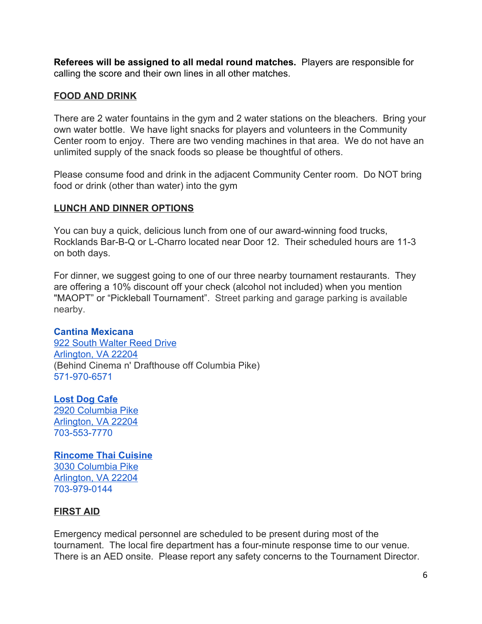**Referees will be assigned to all medal round matches.** Players are responsible for calling the score and their own lines in all other matches.

## **FOOD AND DRINK**

There are 2 water fountains in the gym and 2 water stations on the bleachers. Bring your own water bottle. We have light snacks for players and volunteers in the Community Center room to enjoy. There are two vending machines in that area. We do not have an unlimited supply of the snack foods so please be thoughtful of others.

Please consume food and drink in the adjacent Community Center room. Do NOT bring food or drink (other than water) into the gym

## **LUNCH AND DINNER OPTIONS**

You can buy a quick, delicious lunch from one of our award-winning food trucks, Rocklands Bar-B-Q or L-Charro located near Door 12. Their scheduled hours are 11-3 on both days.

For dinner, we suggest going to one of our three nearby tournament restaurants. They are offering a 10% discount off your check (alcohol not included) when you mention "MAOPT" or "Pickleball Tournament". Street parking and garage parking is available nearby.

## **Cantina Mexicana**

922 South [Walter](https://maps.google.com/?q=922+South+Walter+Reed+Drive+Arlington,+VA+22204&entry=gmail&source=g) Reed Drive [Arlington,](https://maps.google.com/?q=922+South+Walter+Reed+Drive+Arlington,+VA+22204&entry=gmail&source=g) VA 22204 (Behind Cinema n' Drafthouse off Columbia Pike) 571-970-6571

# **Lost Dog [Cafe](https://www.lostdogcafe.com/)**

2920 [Columbia](https://maps.google.com/?q=2920+Columbia+Pike+Arlington,+VA+22204+703&entry=gmail&source=g) Pike [Arlington,](https://maps.google.com/?q=2920+Columbia+Pike+Arlington,+VA+22204+703&entry=gmail&source=g) VA 22204 703-553-7770

## **[Rincome](http://www.rincomethai.com/) Thai Cuisine**

3030 [Columbia](https://maps.google.com/?q=3030+Columbia+Pike+Arlington,+VA+22204+703&entry=gmail&source=g) Pike [Arlington,](https://maps.google.com/?q=3030+Columbia+Pike+Arlington,+VA+22204+703&entry=gmail&source=g) VA 22204 703-979-0144

## **FIRST AID**

Emergency medical personnel are scheduled to be present during most of the tournament. The local fire department has a four-minute response time to our venue. There is an AED onsite. Please report any safety concerns to the Tournament Director.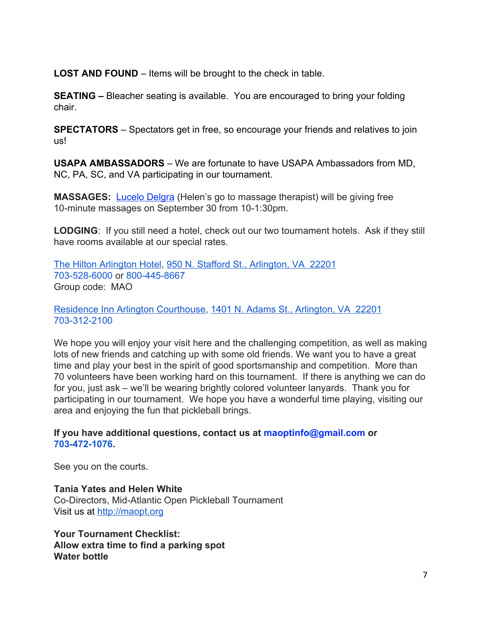**LOST AND FOUND** – Items will be brought to the check in table.

**SEATING –** Bleacher seating is available. You are encouraged to bring your folding chair.

**SPECTATORS** – Spectators get in free, so encourage your friends and relatives to join us!

**USAPA AMBASSADORS** – We are fortunate to have USAPA Ambassadors from MD, NC, PA, SC, and VA participating in our tournament.

**MASSAGES:** [Lucelo](http://arlington-massage.com/) Delgra (Helen's go to massage therapist) will be giving free 10-minute massages on September 30 from 10-1:30pm.

**LODGING**: If you still need a hotel, check out our two tournament hotels. Ask if they still have rooms available at our special rates.

The Hilton [Arlington](http://www.hilton.com/en/hi/groups/personalized/D/DCAVAHF-MAO-20170929/index.jhtml?WT.mc_id=POG) Hotel, 950 N. Stafford St., [Arlington,](https://maps.google.com/?q=950+N.+Stafford+St.,+Arlington,+VA+%C2%A022201+703&entry=gmail&source=g) VA [22201](https://maps.google.com/?q=950+N.+Stafford+St.,+Arlington,+VA+%C2%A022201+703&entry=gmail&source=g) 703-528-6000 or 800-445-8667 Group code: MAO

Residence Inn Arlington [Courthouse,](http://www.marriott.com/meeting-event-hotels/group-corporate-travel/groupCorp.mi?resLinkData=2017%20Mid-Atlantic%20Open%20Pickleball%20Tournament%5EWASCA%60MAPMAPA%7CMAPMAPB%7CMAPMAPC%60139.00-199.00%60USD%60false%605%609/28/17%6010/2/17%609/8/17&app=resvlink&stop_mobi=yes) 1401 N. Adams St., [Arlington,](https://maps.google.com/?q=1401+N.+Adams+St.,+Arlington,+VA+%C2%A022201+703&entry=gmail&source=g) VA [22201](https://maps.google.com/?q=1401+N.+Adams+St.,+Arlington,+VA+%C2%A022201+703&entry=gmail&source=g) 703-312-2100

We hope you will enjoy your visit here and the challenging competition, as well as making lots of new friends and catching up with some old friends. We want you to have a great time and play your best in the spirit of good sportsmanship and competition. More than 70 volunteers have been working hard on this tournament. If there is anything we can do for you, just ask – we'll be wearing brightly colored volunteer lanyards. Thank you for participating in our tournament. We hope you have a wonderful time playing, visiting our area and enjoying the fun that pickleball brings.

**If you have additional questions, contact us at maoptinfo@gmail.com or 703-472-1076.**

See you on the courts.

**Tania Yates and Helen White** Co-Directors, Mid-Atlantic Open Pickleball Tournament Visit us at [http://maopt.org](http://maopt.com/)

**Your Tournament Checklist: Allow extra time to find a parking spot Water bottle**